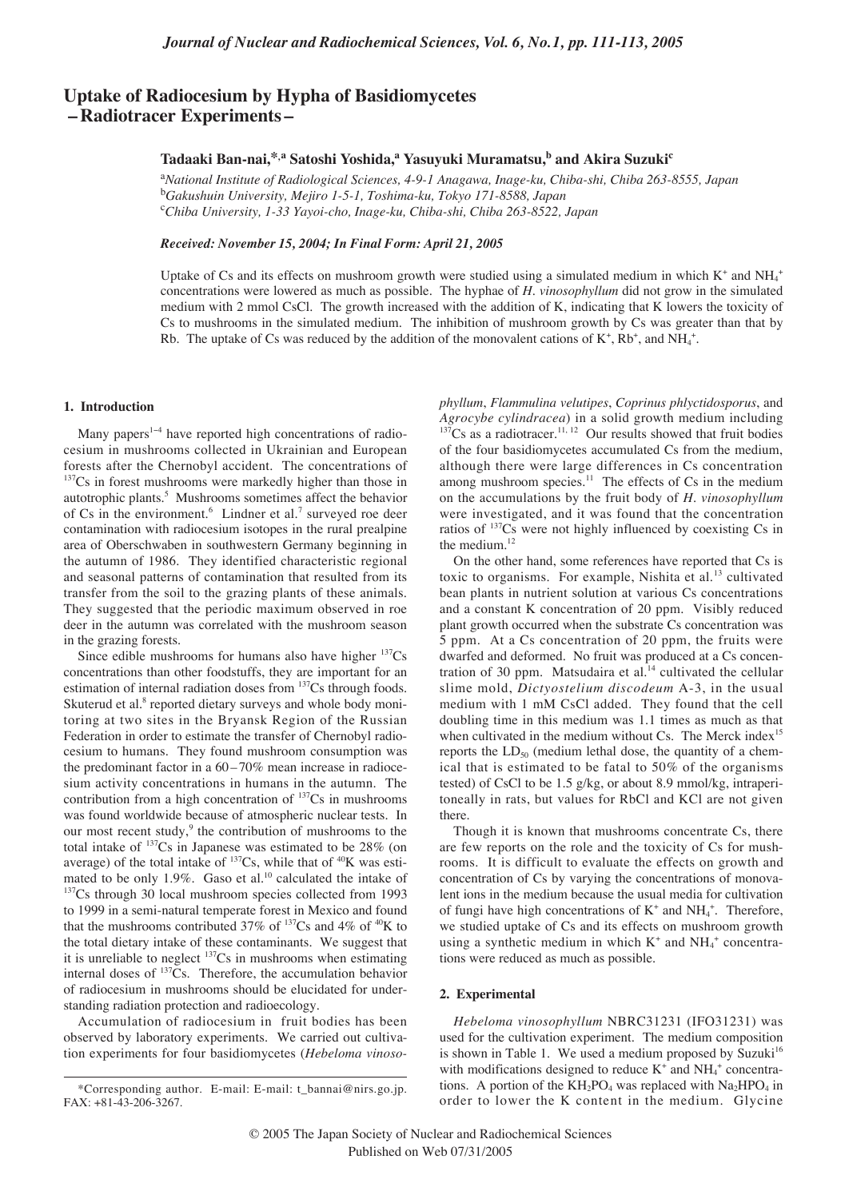# **Uptake of Radiocesium by Hypha of Basidiomycetes – Radiotracer Experiments –**

## **Tadaaki Ban-nai,\*,a Satoshi Yoshida,a Yasuyuki Muramatsu,b and Akira Suzuki<sup>c</sup>**

a *National Institute of Radiological Sciences, 4-9-1 Anagawa, Inage-ku, Chiba-shi, Chiba 263-8555, Japan* b *Gakushuin University, Mejiro 1-5-1, Toshima-ku, Tokyo 171-8588, Japan* c *Chiba University, 1-33 Yayoi-cho, Inage-ku, Chiba-shi, Chiba 263-8522, Japan*

*Received: November 15, 2004; In Final Form: April 21, 2005*

Uptake of Cs and its effects on mushroom growth were studied using a simulated medium in which  $K^+$  and NH<sub>4</sub><sup>+</sup> concentrations were lowered as much as possible. The hyphae of *H*. *vinosophyllum* did not grow in the simulated medium with 2 mmol CsCl. The growth increased with the addition of K, indicating that K lowers the toxicity of Cs to mushrooms in the simulated medium. The inhibition of mushroom growth by Cs was greater than that by Rb. The uptake of Cs was reduced by the addition of the monovalent cations of  $K^+$ ,  $Rb^+$ , and  $NH_4^+$ .

## **1. Introduction**

Many papers<sup> $1-4$ </sup> have reported high concentrations of radiocesium in mushrooms collected in Ukrainian and European forests after the Chernobyl accident. The concentrations of  $137Cs$  in forest mushrooms were markedly higher than those in autotrophic plants.<sup>5</sup> Mushrooms sometimes affect the behavior of Cs in the environment.<sup>6</sup> Lindner et al.<sup>7</sup> surveyed roe deer contamination with radiocesium isotopes in the rural prealpine area of Oberschwaben in southwestern Germany beginning in the autumn of 1986. They identified characteristic regional and seasonal patterns of contamination that resulted from its transfer from the soil to the grazing plants of these animals. They suggested that the periodic maximum observed in roe deer in the autumn was correlated with the mushroom season in the grazing forests.

Since edible mushrooms for humans also have higher  $137Cs$ concentrations than other foodstuffs, they are important for an estimation of internal radiation doses from 137Cs through foods. Skuterud et al.<sup>8</sup> reported dietary surveys and whole body monitoring at two sites in the Bryansk Region of the Russian Federation in order to estimate the transfer of Chernobyl radiocesium to humans. They found mushroom consumption was the predominant factor in a  $60 - 70\%$  mean increase in radiocesium activity concentrations in humans in the autumn. The contribution from a high concentration of  $137Cs$  in mushrooms was found worldwide because of atmospheric nuclear tests. In our most recent study, $9$  the contribution of mushrooms to the total intake of  $137Cs$  in Japanese was estimated to be 28% (on average) of the total intake of  $137Cs$ , while that of  $40K$  was estimated to be only  $1.9\%$ . Gaso et al.<sup>10</sup> calculated the intake of <sup>137</sup>Cs through 30 local mushroom species collected from 1993 to 1999 in a semi-natural temperate forest in Mexico and found that the mushrooms contributed 37% of  $137$ Cs and 4% of  $40$ K to the total dietary intake of these contaminants. We suggest that it is unreliable to neglect 137Cs in mushrooms when estimating internal doses of <sup>137</sup>Cs. Therefore, the accumulation behavior of radiocesium in mushrooms should be elucidated for understanding radiation protection and radioecology.

Accumulation of radiocesium in fruit bodies has been observed by laboratory experiments. We carried out cultivation experiments for four basidiomycetes (*Hebeloma vinoso-* *phyllum*, *Flammulina velutipes*, *Coprinus phlyctidosporus*, and *Agrocybe cylindracea*) in a solid growth medium including  $137Cs$  as a radiotracer.<sup>11, 12</sup> Our results showed that fruit bodies of the four basidiomycetes accumulated Cs from the medium, although there were large differences in Cs concentration among mushroom species. $11$  The effects of Cs in the medium on the accumulations by the fruit body of *H*. *vinosophyllum* were investigated, and it was found that the concentration ratios of 137Cs were not highly influenced by coexisting Cs in the medium.<sup>12</sup>

On the other hand, some references have reported that Cs is toxic to organisms. For example, Nishita et al.<sup>13</sup> cultivated bean plants in nutrient solution at various Cs concentrations and a constant K concentration of 20 ppm. Visibly reduced plant growth occurred when the substrate Cs concentration was 5 ppm. At a Cs concentration of 20 ppm, the fruits were dwarfed and deformed. No fruit was produced at a Cs concentration of 30 ppm. Matsudaira et al. $<sup>14</sup>$  cultivated the cellular</sup> slime mold, *Dictyostelium discodeum* A-3, in the usual medium with 1 mM CsCl added. They found that the cell doubling time in this medium was 1.1 times as much as that when cultivated in the medium without Cs. The Merck index<sup>15</sup> reports the  $LD_{50}$  (medium lethal dose, the quantity of a chemical that is estimated to be fatal to 50% of the organisms tested) of CsCl to be 1.5 g/kg, or about 8.9 mmol/kg, intraperitoneally in rats, but values for RbCl and KCl are not given there.

Though it is known that mushrooms concentrate Cs, there are few reports on the role and the toxicity of Cs for mushrooms. It is difficult to evaluate the effects on growth and concentration of Cs by varying the concentrations of monovalent ions in the medium because the usual media for cultivation of fungi have high concentrations of  $K^+$  and  $NH_4^+$ . Therefore, we studied uptake of Cs and its effects on mushroom growth using a synthetic medium in which  $K^+$  and  $NH_4^+$  concentrations were reduced as much as possible.

## **2. Experimental**

*Hebeloma vinosophyllum* NBRC31231 (IFO31231) was used for the cultivation experiment. The medium composition is shown in Table 1. We used a medium proposed by Suzuki $16$ with modifications designed to reduce  $K^+$  and  $NH_4^+$  concentrations. A portion of the  $KH_2PO_4$  was replaced with  $Na_2HPO_4$  in order to lower the K content in the medium. Glycine

<sup>\*</sup>Corresponding author. E-mail: E-mail: t\_bannai@nirs.go.jp. FAX: +81-43-206-3267.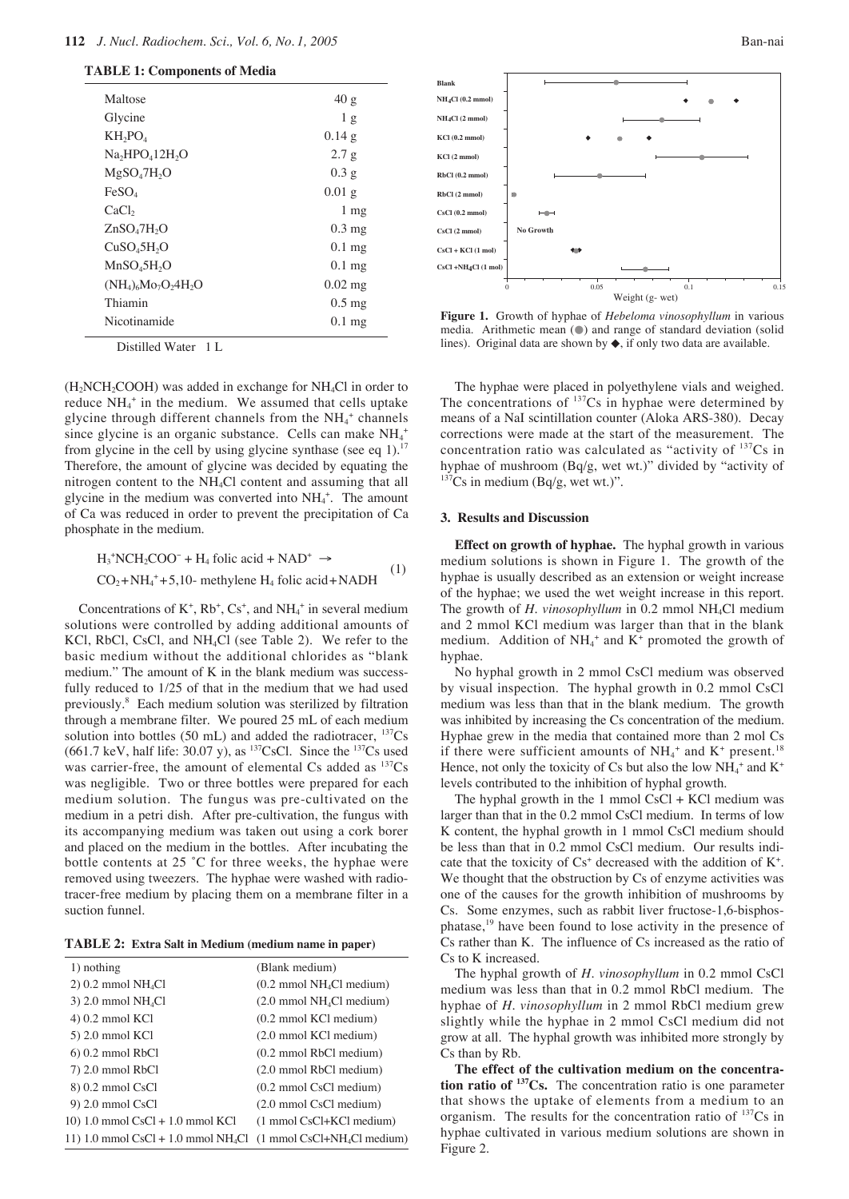## **112** *J. Nucl. Radiochem. Sci., Vol. 6, No. 1, 2005* Ban-nai

### **TABLE 1: Components of Media**

| Maltose                             | 40g              |
|-------------------------------------|------------------|
| Glycine                             | 1 <sub>g</sub>   |
| $KH_2PO_4$                          | 0.14g            |
| $Na2HPO412H2O$                      | 2.7g             |
| $MgSO_4$ 7H <sub>2</sub> O          | 0.3 <sub>g</sub> |
| FeSO <sub>4</sub>                   | $0.01$ g         |
| CaCl <sub>2</sub>                   | $1 \text{ mg}$   |
| ZnSO <sub>a</sub> 7H <sub>2</sub> O | $0.3 \text{ mg}$ |
| CuSO <sub>4</sub> 5H <sub>2</sub> O | $0.1$ mg         |
| MnSO <sub>4</sub> 5H <sub>2</sub> O | $0.1$ mg         |
| $(NH_4)_{6}Mo_7O_24H_2O$            | $0.02$ mg        |
| Thiamin                             | $0.5 \text{ mg}$ |
| Nicotinamide                        | $0.1$ mg         |
|                                     |                  |

Distilled Water 1 L

 $(H_2NCH_2COOH)$  was added in exchange for NH<sub>4</sub>Cl in order to reduce  $NH_4^+$  in the medium. We assumed that cells uptake glycine through different channels from the NH<sub>4</sub><sup>+</sup> channels since glycine is an organic substance. Cells can make  $NH_4^+$ from glycine in the cell by using glycine synthase (see eq 1).<sup>17</sup> Therefore, the amount of glycine was decided by equating the nitrogen content to the NH4Cl content and assuming that all glycine in the medium was converted into  $NH<sub>4</sub><sup>+</sup>$ . The amount of Ca was reduced in order to prevent the precipitation of Ca phosphate in the medium.

$$
H_3^+ NCH_2COO^- + H_4 \text{ folic acid} + NAD^+ \rightarrow
$$
  
CO<sub>2</sub>+NH<sub>4</sub><sup>+</sup>+5,10- methylene H<sub>4</sub> folic acid+NADH (1)

Concentrations of  $K^+$ ,  $Rb^+$ ,  $Cs^+$ , and  $NH_4^+$  in several medium solutions were controlled by adding additional amounts of KCl, RbCl, CsCl, and NH4Cl (see Table 2). We refer to the basic medium without the additional chlorides as "blank medium." The amount of K in the blank medium was successfully reduced to 1/25 of that in the medium that we had used previously.8 Each medium solution was sterilized by filtration through a membrane filter. We poured 25 mL of each medium solution into bottles (50 mL) and added the radiotracer,  $^{137}Cs$ (661.7 keV, half life:  $30.07$  y), as <sup>137</sup>CsCl. Since the <sup>137</sup>Cs used was carrier-free, the amount of elemental Cs added as  $^{137}Cs$ was negligible. Two or three bottles were prepared for each medium solution. The fungus was pre-cultivated on the medium in a petri dish. After pre-cultivation, the fungus with its accompanying medium was taken out using a cork borer and placed on the medium in the bottles. After incubating the bottle contents at 25 °C for three weeks, the hyphae were removed using tweezers. The hyphae were washed with radiotracer-free medium by placing them on a membrane filter in a suction funnel.

**TABLE 2: Extra Salt in Medium (medium name in paper)**

| 1) nothing                                        | (Blank medium)                                       |
|---------------------------------------------------|------------------------------------------------------|
| $2)$ 0.2 mmol NH <sub>4</sub> Cl                  | $(0.2 \text{ mmol NH}_{4}Cl \text{ medium})$         |
| $3)$ 2.0 mmol NH <sub>4</sub> Cl                  | $(2.0 \text{ mmol} \text{ NH}_{4}Cl \text{ medium})$ |
| $(4)$ 0.2 mmol KCl                                | $(0.2 \text{ mmol KCl medium})$                      |
| 5) 2.0 mmol KCl                                   | $(2.0 \text{ mmol KCl medium})$                      |
| $6)$ 0.2 mmol RbCl                                | $(0.2 \text{ mmol} \, \text{RbCl} \, \text{medium})$ |
| 7) 2.0 mmol RbCl                                  | $(2.0 \text{ mmol} \text{ RbCl} \text{ medium})$     |
| 8) 0.2 mmol CsCl                                  | $(0.2 \text{ mmol} \text{ CsCl} \text{ medium})$     |
| $9)$ 2.0 mmol CsCl                                | $(2.0 \text{ mmol} \text{ CsCl} \text{ medium})$     |
| $10)$ 1.0 mmol CsCl + 1.0 mmol KCl                | $(1 \text{ mmol CsCl+KCl medium})$                   |
| 11) 1.0 mmol $CsCl + 1.0$ mmol NH <sub>4</sub> Cl | $(1 \text{ mmol CsCl} + NH4Cl \text{ medium})$       |



**Figure 1.** Growth of hyphae of *Hebeloma vinosophyllum* in various media. Arithmetic mean (●) and range of standard deviation (solid lines). Original data are shown by ◆, if only two data are available.

The hyphae were placed in polyethylene vials and weighed. The concentrations of  $137Cs$  in hyphae were determined by means of a NaI scintillation counter (Aloka ARS-380). Decay corrections were made at the start of the measurement. The concentration ratio was calculated as "activity of  $137Cs$  in hyphae of mushroom (Bq/g, wet wt.)" divided by "activity of  $137Cs$  in medium (Bq/g, wet wt.)".

#### **3. Results and Discussion**

**Effect on growth of hyphae.** The hyphal growth in various medium solutions is shown in Figure 1. The growth of the hyphae is usually described as an extension or weight increase of the hyphae; we used the wet weight increase in this report. The growth of *H. vinosophyllum* in 0.2 mmol NH<sub>4</sub>Cl medium and 2 mmol KCl medium was larger than that in the blank medium. Addition of  $NH_4$ <sup>+</sup> and  $K^+$  promoted the growth of hyphae.

No hyphal growth in 2 mmol CsCl medium was observed by visual inspection. The hyphal growth in 0.2 mmol CsCl medium was less than that in the blank medium. The growth was inhibited by increasing the Cs concentration of the medium. Hyphae grew in the media that contained more than 2 mol Cs if there were sufficient amounts of  $NH_4^+$  and  $K^+$  present.<sup>18</sup> Hence, not only the toxicity of Cs but also the low  $NH_4^+$  and  $K^+$ levels contributed to the inhibition of hyphal growth.

The hyphal growth in the 1 mmol  $CsCl + KCl$  medium was larger than that in the 0.2 mmol CsCl medium. In terms of low K content, the hyphal growth in 1 mmol CsCl medium should be less than that in 0.2 mmol CsCl medium. Our results indicate that the toxicity of  $Cs<sup>+</sup>$  decreased with the addition of  $K<sup>+</sup>$ . We thought that the obstruction by Cs of enzyme activities was one of the causes for the growth inhibition of mushrooms by Cs. Some enzymes, such as rabbit liver fructose-1,6-bisphosphatase,<sup>19</sup> have been found to lose activity in the presence of Cs rather than K. The influence of Cs increased as the ratio of Cs to K increased.

The hyphal growth of *H*. *vinosophyllum* in 0.2 mmol CsCl medium was less than that in 0.2 mmol RbCl medium. The hyphae of *H*. *vinosophyllum* in 2 mmol RbCl medium grew slightly while the hyphae in 2 mmol CsCl medium did not grow at all. The hyphal growth was inhibited more strongly by Cs than by Rb.

**The effect of the cultivation medium on the concentration ratio of 137Cs.** The concentration ratio is one parameter that shows the uptake of elements from a medium to an organism. The results for the concentration ratio of <sup>137</sup>Cs in hyphae cultivated in various medium solutions are shown in Figure 2.